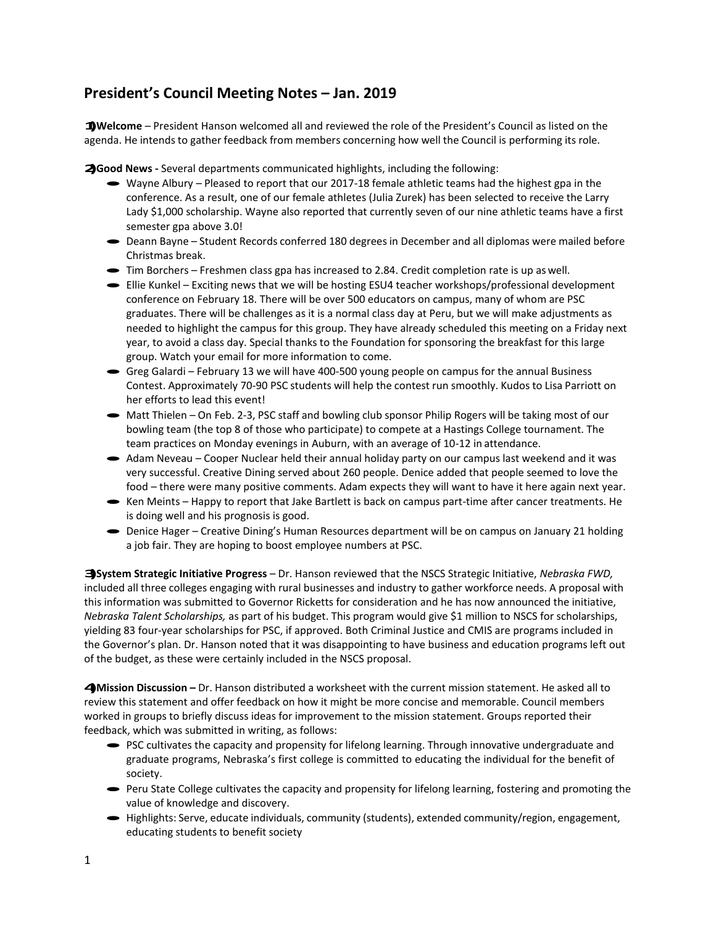## **President's Council Meeting Notes – Jan. 2019**

**1)Welcome** – President Hanson welcomed all and reviewed the role of the President's Council as listed on the agenda. He intends to gather feedback from members concerning how well the Council is performing its role.

**2)Good News -** Several departments communicated highlights, including the following:

- Wayne Albury Pleased to report that our 2017-18 female athletic teams had the highest gpa in the conference. As a result, one of our female athletes (Julia Zurek) has been selected to receive the Larry Lady \$1,000 scholarship. Wayne also reported that currently seven of our nine athletic teams have a first semester gpa above 3.0!
- · Deann Bayne Student Records conferred <sup>180</sup> degrees in December and all diplomas were mailed before Christmas break.
- · Tim Borchers Freshmen class gpa has increased to 2.84. Credit completion rate is up aswell.
- · Ellie Kunkel Exciting news that we will be hosting ESU4 teacher workshops/professional development conference on February 18. There will be over 500 educators on campus, many of whom are PSC graduates. There will be challenges as it is a normal class day at Peru, but we will make adjustments as needed to highlight the campus for this group. They have already scheduled this meeting on a Friday next year, to avoid a class day. Special thanks to the Foundation for sponsoring the breakfast for this large group. Watch your email for more information to come.
- · Greg Galardi February 13 we will have 400-500 young people on campus for the annual Business Contest. Approximately 70-90 PSC students will help the contest run smoothly. Kudos to Lisa Parriott on her efforts to lead this event!
- Matt Thielen On Feb. 2-3, PSC staff and bowling club sponsor Philip Rogers will be taking most of our bowling team (the top 8 of those who participate) to compete at a Hastings College tournament. The team practices on Monday evenings in Auburn, with an average of 10-12 in attendance.
- · Adam Neveau Cooper Nuclear held their annual holiday party on our campus last weekend and it was very successful. Creative Dining served about 260 people. Denice added that people seemed to love the food – there were many positive comments. Adam expects they will want to have it here again next year.
- · Ken Meints Happy to report that Jake Bartlett is back on campus part-time after cancer treatments. He is doing well and his prognosis is good.
- · Denice Hager Creative Dining's Human Resources department will be on campus on January 21 holding a job fair. They are hoping to boost employee numbers at PSC.

**3)System Strategic Initiative Progress** – Dr. Hanson reviewed that the NSCS Strategic Initiative, *Nebraska FWD,*  included all three colleges engaging with rural businesses and industry to gather workforce needs. A proposal with this information was submitted to Governor Ricketts for consideration and he has now announced the initiative, *Nebraska Talent Scholarships,* as part of his budget. This program would give \$1 million to NSCS for scholarships, yielding 83 four-year scholarships for PSC, if approved. Both Criminal Justice and CMIS are programs included in the Governor's plan. Dr. Hanson noted that it was disappointing to have business and education programs left out of the budget, as these were certainly included in the NSCS proposal.

**4)Mission Discussion –** Dr. Hanson distributed <sup>a</sup> worksheet with the current mission statement. He asked all to review this statement and offer feedback on how it might be more concise and memorable. Council members worked in groups to briefly discuss ideas for improvement to the mission statement. Groups reported their feedback, which was submitted in writing, as follows:

- · PSC cultivates the capacity and propensity for lifelong learning. Through innovative undergraduate and graduate programs, Nebraska's first college is committed to educating the individual for the benefit of society.
- · Peru State College cultivates the capacity and propensity for lifelong learning, fostering and promoting the value of knowledge and discovery.
- · Highlights: Serve, educate individuals, community (students), extended community/region, engagement, educating students to benefit society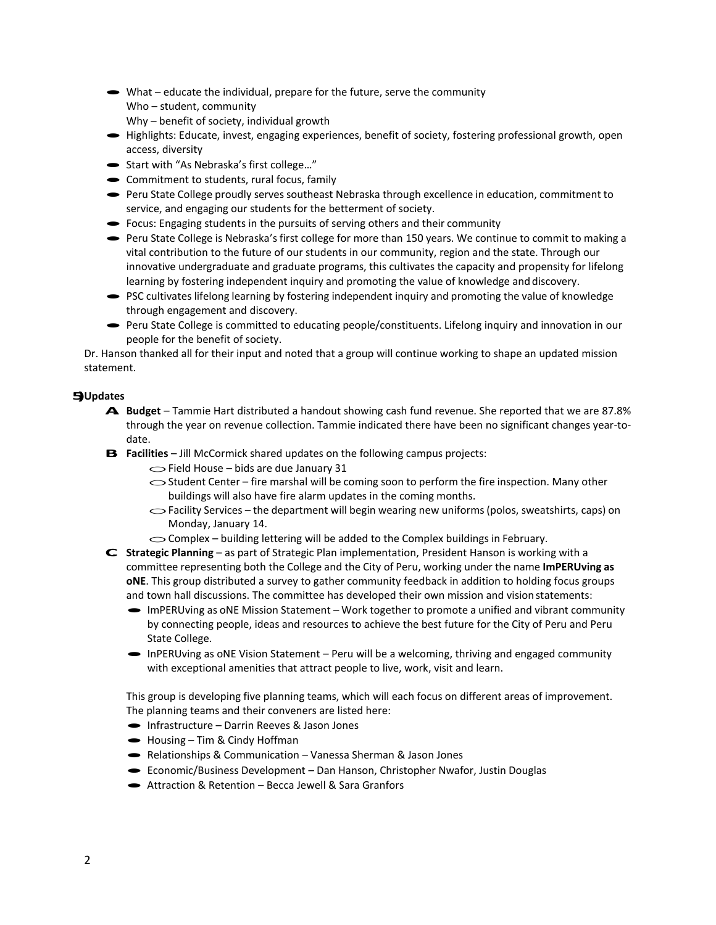- $\rightarrow$  What educate the individual, prepare for the future, serve the community Who – student, community Why – benefit of society, individual growth
- · Highlights: Educate, invest, engaging experiences, benefit of society, fostering professional growth, open access, diversity
- · Start with "As Nebraska's first college…"
- Commitment to students, rural focus, family
- · Peru State College proudly serves southeast Nebraska through excellence in education, commitment to service, and engaging our students for the betterment of society.
- Focus: Engaging students in the pursuits of serving others and their community
- · Peru State College is Nebraska's first college for more than <sup>150</sup> years. We continue to commit to making <sup>a</sup> vital contribution to the future of our students in our community, region and the state. Through our innovative undergraduate and graduate programs, this cultivates the capacity and propensity for lifelong learning by fostering independent inquiry and promoting the value of knowledge and discovery.
- PSC cultivates lifelong learning by fostering independent inquiry and promoting the value of knowledge through engagement and discovery.
- · Peru State College is committed to educating people/constituents. Lifelong inquiry and innovation in our people for the benefit of society.

Dr. Hanson thanked all for their input and noted that a group will continue working to shape an updated mission statement.

## **5)Updates**

- **A. Budget**  Tammie Hart distributed a handout showing cash fund revenue. She reported that we are 87.8% through the year on revenue collection. Tammie indicated there have been no significant changes year-todate.
- **B. Facilities** Jill McCormick shared updates on the following campus projects:<br>  $\bigcirc$  Field House bids are due January 31
	-
	- Gield House bids are due January 31<br>
	Student Center fire marshal will be coming soon to perform the fire inspection. Many other buildings will also have fire alarm updates in the coming months.
	- $\sim$  Facility Services the department will begin wearing new uniforms (polos, sweatshirts, caps) on Monday, January 14.
	- $\sim$  Complex building lettering will be added to the Complex buildings in February.
- **C. Strategic Planning**  as part of Strategic Plan implementation, President Hanson is working with a committee representing both the College and the City of Peru, working under the name **ImPERUving as oNE**. This group distributed a survey to gather community feedback in addition to holding focus groups and town hall discussions. The committee has developed their own mission and vision statements:
	- · ImPERUving as oNE Mission Statement Work together to promote <sup>a</sup> unified and vibrant community by connecting people, ideas and resources to achieve the best future for the City of Peru and Peru State College.
	- · InPERUving as oNE Vision Statement Peru will be a welcoming, thriving and engaged community with exceptional amenities that attract people to live, work, visit and learn.

This group is developing five planning teams, which will each focus on different areas of improvement. The planning teams and their conveners are listed here:

- The planning teams and their conveners are liste<br>
 Infrastructure Darrin Reeves & Jason Jones
- Infrastructure Darrin Reeves 8<br>• Housing Tim & Cindy Hoffman
- Housing Tim & Cindy Hoffman<br>• Relationships & Communication Vanessa Sherman & Jason Jones
- Relationships & Communication Vanessa Sherman & Jason Jones<br>• Economic/Business Development Dan Hanson, Christopher Nwafor, Justin Douglas • Economic/Business Development – Dan Hanson, Chris<br>• Attraction & Retention – Becca Jewell & Sara Granfors
-